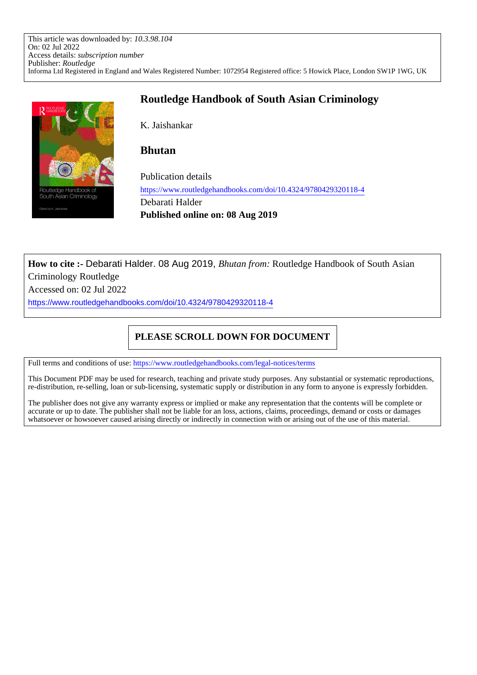This article was downloaded by: *10.3.98.104* On: 02 Jul 2022 Access details: *subscription number* Publisher: *Routledge* Informa Ltd Registered in England and Wales Registered Number: 1072954 Registered office: 5 Howick Place, London SW1P 1WG, UK



## **Routledge Handbook of South Asian Criminology**

K. Jaishankar

### **Bhutan**

Publication details https://www.routledgehandbooks.com/doi/10.4324/9780429320118-4 Debarati Halder **Published online on: 08 Aug 2019**

**How to cite :-** Debarati Halder. 08 Aug 2019, *Bhutan from:* Routledge Handbook of South Asian Criminology Routledge

Accessed on: 02 Jul 2022

https://www.routledgehandbooks.com/doi/10.4324/9780429320118-4

## **PLEASE SCROLL DOWN FOR DOCUMENT**

Full terms and conditions of use: https://www.routledgehandbooks.com/legal-notices/terms

This Document PDF may be used for research, teaching and private study purposes. Any substantial or systematic reproductions, re-distribution, re-selling, loan or sub-licensing, systematic supply or distribution in any form to anyone is expressly forbidden.

The publisher does not give any warranty express or implied or make any representation that the contents will be complete or accurate or up to date. The publisher shall not be liable for an loss, actions, claims, proceedings, demand or costs or damages whatsoever or howsoever caused arising directly or indirectly in connection with or arising out of the use of this material.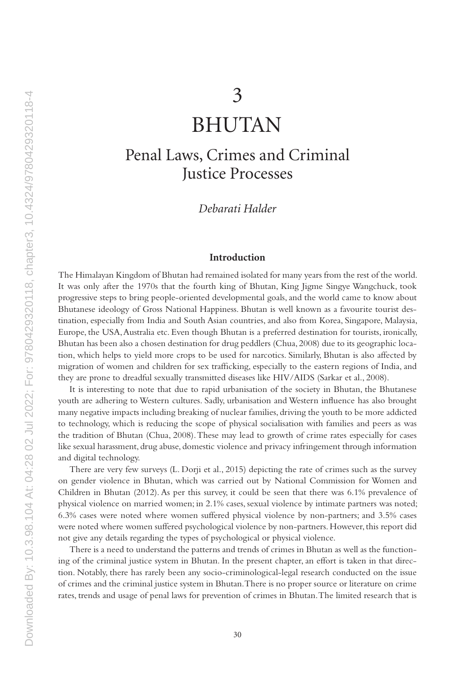# BHUTAN

## Penal Laws, Crimes and Criminal Justice Processes

*Debarati Halder*

#### **Introduction**

The Himalayan Kingdom of Bhutan had remained isolated for many years from the rest of the world. It was only after the 1970s that the fourth king of Bhutan, King Jigme Singye Wangchuck, took progressive steps to bring people-oriented developmental goals, and the world came to know about Bhutanese ideology of Gross National Happiness. Bhutan is well known as a favourite tourist destination, especially from India and South Asian countries, and also from Korea, Singapore, Malaysia, Europe, the USA, Australia etc. Even though Bhutan is a preferred destination for tourists, ironically, Bhutan has been also a chosen destination for drug peddlers (Chua, 2008) due to its geographic location, which helps to yield more crops to be used for narcotics. Similarly, Bhutan is also affected by migration of women and children for sex trafficking, especially to the eastern regions of India, and they are prone to dreadful sexually transmitted diseases like HIV/AIDS (Sarkar et al., 2008).

It is interesting to note that due to rapid urbanisation of the society in Bhutan, the Bhutanese youth are adhering to Western cultures. Sadly, urbanisation and Western influence has also brought many negative impacts including breaking of nuclear families, driving the youth to be more addicted to technology, which is reducing the scope of physical socialisation with families and peers as was the tradition of Bhutan (Chua, 2008). These may lead to growth of crime rates especially for cases like sexual harassment, drug abuse, domestic violence and privacy infringement through information and digital technology.

There are very few surveys (L. Dorji et al., 2015) depicting the rate of crimes such as the survey on gender violence in Bhutan, which was carried out by National Commission for Women and Children in Bhutan (2012). As per this survey, it could be seen that there was 6.1% prevalence of physical violence on married women; in 2.1% cases, sexual violence by intimate partners was noted; 6.3% cases were noted where women suffered physical violence by non-partners; and 3.5% cases were noted where women suffered psychological violence by non-partners. However, this report did not give any details regarding the types of psychological or physical violence.

There is a need to understand the patterns and trends of crimes in Bhutan as well as the functioning of the criminal justice system in Bhutan. In the present chapter, an effort is taken in that direction. Notably, there has rarely been any socio-criminological-legal research conducted on the issue of crimes and the criminal justice system in Bhutan. There is no proper source or literature on crime rates, trends and usage of penal laws for prevention of crimes in Bhutan. The limited research that is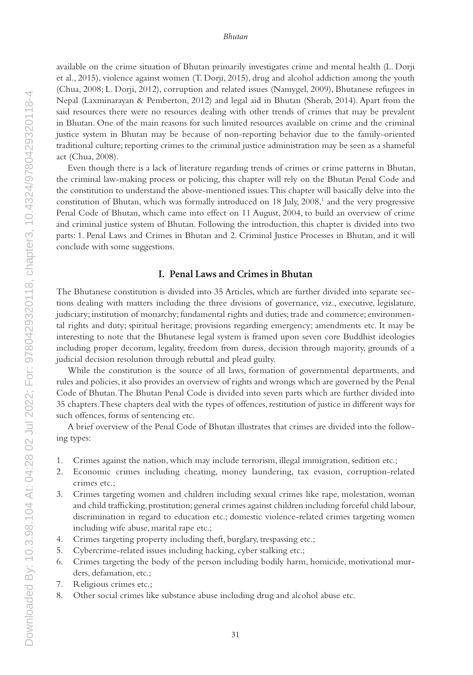available on the crime situation of Bhutan primarily investigates crime and mental health (L. Dorji et al., 2015), violence against women (T. Dorji, 2015), drug and alcohol addiction among the youth (Chua, 2008; L. Dorji, 2012), corruption and related issues (Namygel, 2009), Bhutanese refugees in Nepal (Laxminarayan & Pemberton, 2012) and legal aid in Bhutan (Sherab, 2014). Apart from the said resources there were no resources dealing with other trends of crimes that may be prevalent in Bhutan. One of the main reasons for such limited resources available on crime and the criminal justice system in Bhutan may be because of non-reporting behavior due to the family-oriented traditional culture; reporting crimes to the criminal justice administration may be seen as a shameful act (Chua, 2008).

Even though there is a lack of literature regarding trends of crimes or crime patterns in Bhutan, the criminal law-making process or policing, this chapter will rely on the Bhutan Penal Code and the constitution to understand the above-mentioned issues. This chapter will basically delve into the constitution of Bhutan, which was formally introduced on 18 July, 2008,<sup>1</sup> and the very progressive Penal Code of Bhutan, which came into effect on 11 August, 2004, to build an overview of crime and criminal justice system of Bhutan. Following the introduction, this chapter is divided into two parts: 1. Penal Laws and Crimes in Bhutan and 2. Criminal Justice Processes in Bhutan, and it will conclude with some suggestions.

#### **I. Penal Laws and Crimes in Bhutan**

The Bhutanese constitution is divided into 35 Articles, which are further divided into separate sections dealing with matters including the three divisions of governance, viz., executive, legislature, judiciary; institution of monarchy; fundamental rights and duties; trade and commerce; environmental rights and duty; spiritual heritage; provisions regarding emergency; amendments etc. It may be interesting to note that the Bhutanese legal system is framed upon seven core Buddhist ideologies including proper decorum, legality, freedom from duress, decision through majority, grounds of a judicial decision resolution through rebuttal and plead guilty.

While the constitution is the source of all laws, formation of governmental departments, and rules and policies, it also provides an overview of rights and wrongs which are governed by the Penal Code of Bhutan. The Bhutan Penal Code is divided into seven parts which are further divided into 35 chapters. These chapters deal with the types of offences, restitution of justice in different ways for such offences, forms of sentencing etc.

A brief overview of the Penal Code of Bhutan illustrates that crimes are divided into the following types:

- 1. Crimes against the nation, which may include terrorism, illegal immigration, sedition etc.;
- 2. Economic crimes including cheating, money laundering, tax evasion, corruption-related crimes etc.;
- 3. Crimes targeting women and children including sexual crimes like rape, molestation, woman and child trafficking, prostitution; general crimes against children including forceful child labour, discrimination in regard to education etc.; domestic violence-related crimes targeting women including wife abuse, marital rape etc.;
- 4. Crimes targeting property including theft, burglary, trespassing etc.;
- 5. Cybercrime-related issues including hacking, cyber stalking etc.;
- 6. Crimes targeting the body of the person including bodily harm, homicide, motivational murders, defamation, etc.;
- 7. Religious crimes etc.;
- 8. Other social crimes like substance abuse including drug and alcohol abuse etc.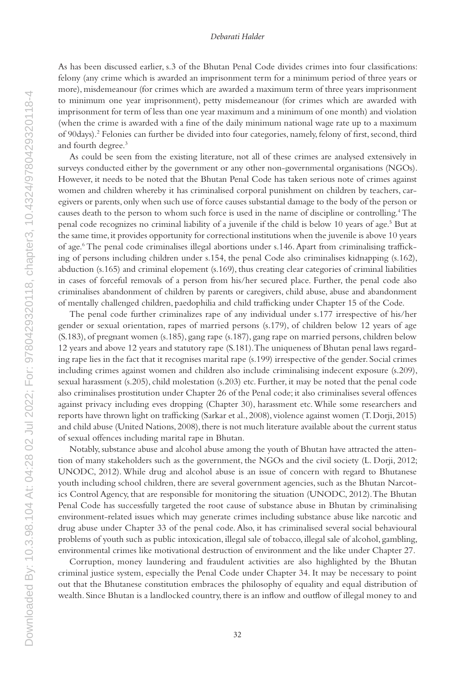As has been discussed earlier, s.3 of the Bhutan Penal Code divides crimes into four classifications: felony (any crime which is awarded an imprisonment term for a minimum period of three years or more), misdemeanour (for crimes which are awarded a maximum term of three years imprisonment to minimum one year imprisonment), petty misdemeanour (for crimes which are awarded with imprisonment for term of less than one year maximum and a minimum of one month) and violation (when the crime is awarded with a fine of the daily minimum national wage rate up to a maximum of 90days).2 Felonies can further be divided into four categories, namely, felony of first, second, third and fourth degree.3

As could be seen from the existing literature, not all of these crimes are analysed extensively in surveys conducted either by the government or any other non-governmental organisations (NGOs). However, it needs to be noted that the Bhutan Penal Code has taken serious note of crimes against women and children whereby it has criminalised corporal punishment on children by teachers, caregivers or parents, only when such use of force causes substantial damage to the body of the person or causes death to the person to whom such force is used in the name of discipline or controlling.<sup>4</sup> The penal code recognizes no criminal liability of a juvenile if the child is below 10 years of age.<sup>5</sup> But at the same time, it provides opportunity for correctional institutions when the juvenile is above 10 years of age.6 The penal code criminalises illegal abortions under s.146. Apart from criminalising trafficking of persons including children under s.154, the penal Code also criminalises kidnapping (s.162), abduction (s.165) and criminal elopement (s.169), thus creating clear categories of criminal liabilities in cases of forceful removals of a person from his/her secured place. Further, the penal code also criminalises abandonment of children by parents or caregivers, child abuse, abuse and abandonment of mentally challenged children, paedophilia and child trafficking under Chapter 15 of the Code.

The penal code further criminalizes rape of any individual under s.177 irrespective of his/her gender or sexual orientation, rapes of married persons (s.179), of children below 12 years of age (S.183), of pregnant women (s.185), gang rape (s.187), gang rape on married persons, children below 12 years and above 12 years and statutory rape (S.181). The uniqueness of Bhutan penal laws regarding rape lies in the fact that it recognises marital rape (s.199) irrespective of the gender. Social crimes including crimes against women and children also include criminalising indecent exposure (s.209), sexual harassment (s.205), child molestation (s.203) etc. Further, it may be noted that the penal code also criminalises prostitution under Chapter 26 of the Penal code; it also criminalises several offences against privacy including eves dropping (Chapter 30), harassment etc. While some researchers and reports have thrown light on trafficking (Sarkar et al., 2008), violence against women (T. Dorji, 2015) and child abuse (United Nations, 2008), there is not much literature available about the current status of sexual offences including marital rape in Bhutan.

Notably, substance abuse and alcohol abuse among the youth of Bhutan have attracted the attention of many stakeholders such as the government, the NGOs and the civil society (L. Dorji, 2012; UNODC, 2012). While drug and alcohol abuse is an issue of concern with regard to Bhutanese youth including school children, there are several government agencies, such as the Bhutan Narcotics Control Agency, that are responsible for monitoring the situation (UNODC, 2012). The Bhutan Penal Code has successfully targeted the root cause of substance abuse in Bhutan by criminalising environment-related issues which may generate crimes including substance abuse like narcotic and drug abuse under Chapter 33 of the penal code. Also, it has criminalised several social behavioural problems of youth such as public intoxication, illegal sale of tobacco, illegal sale of alcohol, gambling, environmental crimes like motivational destruction of environment and the like under Chapter 27.

Corruption, money laundering and fraudulent activities are also highlighted by the Bhutan criminal justice system, especially the Penal Code under Chapter 34. It may be necessary to point out that the Bhutanese constitution embraces the philosophy of equality and equal distribution of wealth. Since Bhutan is a landlocked country, there is an inflow and outflow of illegal money to and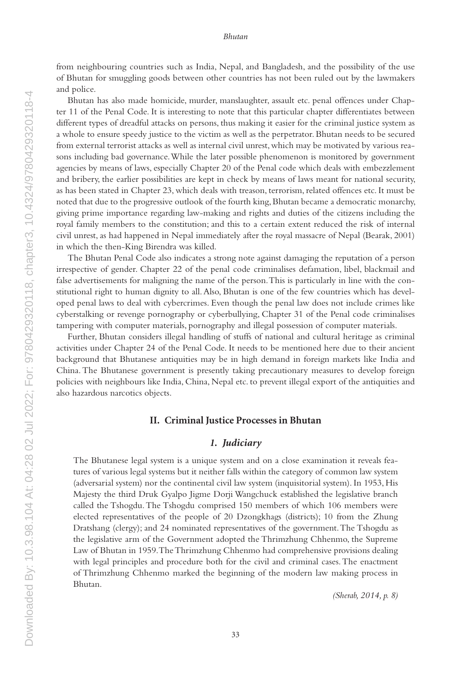#### *Bhutan*

from neighbouring countries such as India, Nepal, and Bangladesh, and the possibility of the use of Bhutan for smuggling goods between other countries has not been ruled out by the lawmakers and police.

Bhutan has also made homicide, murder, manslaughter, assault etc. penal offences under Chapter 11 of the Penal Code. It is interesting to note that this particular chapter differentiates between different types of dreadful attacks on persons, thus making it easier for the criminal justice system as a whole to ensure speedy justice to the victim as well as the perpetrator. Bhutan needs to be secured from external terrorist attacks as well as internal civil unrest, which may be motivated by various reasons including bad governance. While the later possible phenomenon is monitored by government agencies by means of laws, especially Chapter 20 of the Penal code which deals with embezzlement and bribery, the earlier possibilities are kept in check by means of laws meant for national security, as has been stated in Chapter 23, which deals with treason, terrorism, related offences etc. It must be noted that due to the progressive outlook of the fourth king, Bhutan became a democratic monarchy, giving prime importance regarding law-making and rights and duties of the citizens including the royal family members to the constitution; and this to a certain extent reduced the risk of internal civil unrest, as had happened in Nepal immediately after the royal massacre of Nepal (Bearak, 2001) in which the then-King Birendra was killed.

The Bhutan Penal Code also indicates a strong note against damaging the reputation of a person irrespective of gender. Chapter 22 of the penal code criminalises defamation, libel, blackmail and false advertisements for maligning the name of the person. This is particularly in line with the constitutional right to human dignity to all. Also, Bhutan is one of the few countries which has developed penal laws to deal with cybercrimes. Even though the penal law does not include crimes like cyberstalking or revenge pornography or cyberbullying, Chapter 31 of the Penal code criminalises tampering with computer materials, pornography and illegal possession of computer materials.

Further, Bhutan considers illegal handling of stuffs of national and cultural heritage as criminal activities under Chapter 24 of the Penal Code. It needs to be mentioned here due to their ancient background that Bhutanese antiquities may be in high demand in foreign markets like India and China. The Bhutanese government is presently taking precautionary measures to develop foreign policies with neighbours like India, China, Nepal etc. to prevent illegal export of the antiquities and also hazardous narcotics objects.

#### **II. Criminal Justice Processes in Bhutan**

#### *1. Judiciary*

The Bhutanese legal system is a unique system and on a close examination it reveals features of various legal systems but it neither falls within the category of common law system (adversarial system) nor the continental civil law system (inquisitorial system). In 1953, His Majesty the third Druk Gyalpo Jigme Dorji Wangchuck established the legislative branch called the Tshogdu. The Tshogdu comprised 150 members of which 106 members were elected representatives of the people of 20 Dzongkhags (districts); 10 from the Zhung Dratshang (clergy); and 24 nominated representatives of the government. The Tshogdu as the legislative arm of the Government adopted the Thrimzhung Chhenmo, the Supreme Law of Bhutan in 1959. The Thrimzhung Chhenmo had comprehensive provisions dealing with legal principles and procedure both for the civil and criminal cases. The enactment of Thrimzhung Chhenmo marked the beginning of the modern law making process in Bhutan.

*(Sherab, 2014, p. 8)*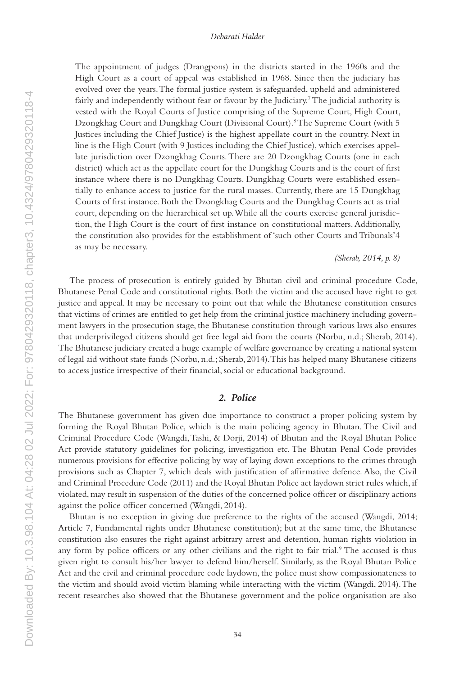#### *Debarati Halder*

The appointment of judges (Drangpons) in the districts started in the 1960s and the High Court as a court of appeal was established in 1968. Since then the judiciary has evolved over the years. The formal justice system is safeguarded, upheld and administered fairly and independently without fear or favour by the Judiciary.<sup>7</sup> The judicial authority is vested with the Royal Courts of Justice comprising of the Supreme Court, High Court, Dzongkhag Court and Dungkhag Court (Divisional Court).<sup>8</sup> The Supreme Court (with 5 Justices including the Chief Justice) is the highest appellate court in the country. Next in line is the High Court (with 9 Justices including the Chief Justice), which exercises appellate jurisdiction over Dzongkhag Courts. There are 20 Dzongkhag Courts (one in each district) which act as the appellate court for the Dungkhag Courts and is the court of first instance where there is no Dungkhag Courts. Dungkhag Courts were established essentially to enhance access to justice for the rural masses. Currently, there are 15 Dungkhag Courts of first instance. Both the Dzongkhag Courts and the Dungkhag Courts act as trial court, depending on the hierarchical set up. While all the courts exercise general jurisdiction, the High Court is the court of first instance on constitutional matters. Additionally, the constitution also provides for the establishment of 'such other Courts and Tribunals'4 as may be necessary.

*(Sherab, 2014, p. 8)*

The process of prosecution is entirely guided by Bhutan civil and criminal procedure Code, Bhutanese Penal Code and constitutional rights. Both the victim and the accused have right to get justice and appeal. It may be necessary to point out that while the Bhutanese constitution ensures that victims of crimes are entitled to get help from the criminal justice machinery including government lawyers in the prosecution stage, the Bhutanese constitution through various laws also ensures that underprivileged citizens should get free legal aid from the courts (Norbu, n.d.; Sherab, 2014). The Bhutanese judiciary created a huge example of welfare governance by creating a national system of legal aid without state funds (Norbu, n.d.; Sherab, 2014). This has helped many Bhutanese citizens to access justice irrespective of their financial, social or educational background.

#### *2. Police*

The Bhutanese government has given due importance to construct a proper policing system by forming the Royal Bhutan Police, which is the main policing agency in Bhutan. The Civil and Criminal Procedure Code (Wangdi, Tashi, & Dorji, 2014) of Bhutan and the Royal Bhutan Police Act provide statutory guidelines for policing, investigation etc. The Bhutan Penal Code provides numerous provisions for effective policing by way of laying down exceptions to the crimes through provisions such as Chapter 7, which deals with justification of affirmative defence. Also, the Civil and Criminal Procedure Code (2011) and the Royal Bhutan Police act laydown strict rules which, if violated, may result in suspension of the duties of the concerned police officer or disciplinary actions against the police officer concerned (Wangdi, 2014).

Bhutan is no exception in giving due preference to the rights of the accused (Wangdi, 2014; Article 7, Fundamental rights under Bhutanese constitution); but at the same time, the Bhutanese constitution also ensures the right against arbitrary arrest and detention, human rights violation in any form by police officers or any other civilians and the right to fair trial.<sup>9</sup> The accused is thus given right to consult his/her lawyer to defend him/herself. Similarly, as the Royal Bhutan Police Act and the civil and criminal procedure code laydown, the police must show compassionateness to the victim and should avoid victim blaming while interacting with the victim (Wangdi, 2014). The recent researches also showed that the Bhutanese government and the police organisation are also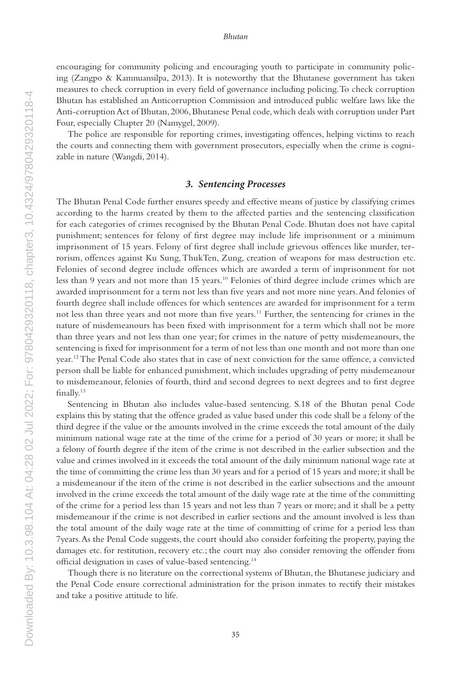encouraging for community policing and encouraging youth to participate in community policing (Zangpo & Kamnuansilpa, 2013). It is noteworthy that the Bhutanese government has taken measures to check corruption in every field of governance including policing. To check corruption Bhutan has established an Anticorruption Commission and introduced public welfare laws like the Anti-corruption Act of Bhutan, 2006, Bhutanese Penal code, which deals with corruption under Part Four, especially Chapter 20 (Namygel, 2009).

The police are responsible for reporting crimes, investigating offences, helping victims to reach the courts and connecting them with government prosecutors, especially when the crime is cognizable in nature (Wangdi, 2014).

#### *3. Sentencing Processes*

The Bhutan Penal Code further ensures speedy and effective means of justice by classifying crimes according to the harms created by them to the affected parties and the sentencing classification for each categories of crimes recognised by the Bhutan Penal Code. Bhutan does not have capital punishment; sentences for felony of first degree may include life imprisonment or a minimum imprisonment of 15 years. Felony of first degree shall include grievous offences like murder, terrorism, offences against Ku Sung, ThukTen, Zung, creation of weapons for mass destruction etc. Felonies of second degree include offences which are awarded a term of imprisonment for not less than 9 years and not more than 15 years.10 Felonies of third degree include crimes which are awarded imprisonment for a term not less than five years and not more nine years. And felonies of fourth degree shall include offences for which sentences are awarded for imprisonment for a term not less than three years and not more than five years.11 Further, the sentencing for crimes in the nature of misdemeanours has been fixed with imprisonment for a term which shall not be more than three years and not less than one year; for crimes in the nature of petty misdemeanours, the sentencing is fixed for imprisonment for a term of not less than one month and not more than one year.12 The Penal Code also states that in case of next conviction for the same offence, a convicted person shall be liable for enhanced punishment, which includes upgrading of petty misdemeanour to misdemeanour, felonies of fourth, third and second degrees to next degrees and to first degree finally.13

Sentencing in Bhutan also includes value-based sentencing. S.18 of the Bhutan penal Code explains this by stating that the offence graded as value based under this code shall be a felony of the third degree if the value or the amounts involved in the crime exceeds the total amount of the daily minimum national wage rate at the time of the crime for a period of 30 years or more; it shall be a felony of fourth degree if the item of the crime is not described in the earlier subsection and the value and crimes involved in it exceeds the total amount of the daily minimum national wage rate at the time of committing the crime less than 30 years and for a period of 15 years and more; it shall be a misdemeanour if the item of the crime is not described in the earlier subsections and the amount involved in the crime exceeds the total amount of the daily wage rate at the time of the committing of the crime for a period less than 15 years and not less than 7 years or more; and it shall be a petty misdemeanour if the crime is not described in earlier sections and the amount involved is less than the total amount of the daily wage rate at the time of committing of crime for a period less than 7years. As the Penal Code suggests, the court should also consider forfeiting the property, paying the damages etc. for restitution, recovery etc.; the court may also consider removing the offender from official designation in cases of value-based sentencing.14

Though there is no literature on the correctional systems of Bhutan, the Bhutanese judiciary and the Penal Code ensure correctional administration for the prison inmates to rectify their mistakes and take a positive attitude to life.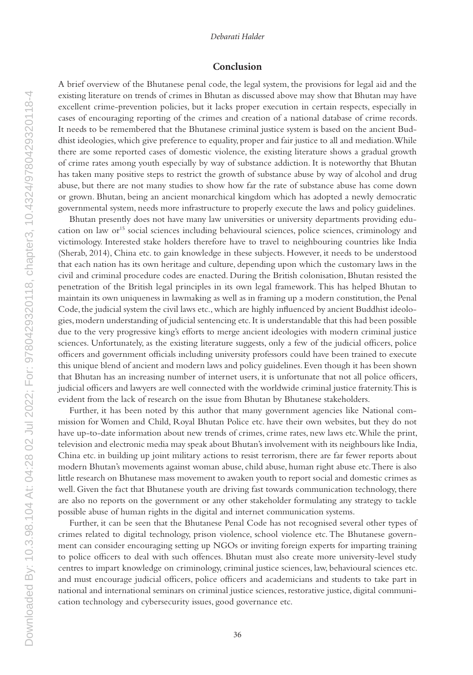#### *Debarati Halder*

#### **Conclusion**

A brief overview of the Bhutanese penal code, the legal system, the provisions for legal aid and the existing literature on trends of crimes in Bhutan as discussed above may show that Bhutan may have excellent crime-prevention policies, but it lacks proper execution in certain respects, especially in cases of encouraging reporting of the crimes and creation of a national database of crime records. It needs to be remembered that the Bhutanese criminal justice system is based on the ancient Buddhist ideologies, which give preference to equality, proper and fair justice to all and mediation. While there are some reported cases of domestic violence, the existing literature shows a gradual growth of crime rates among youth especially by way of substance addiction. It is noteworthy that Bhutan has taken many positive steps to restrict the growth of substance abuse by way of alcohol and drug abuse, but there are not many studies to show how far the rate of substance abuse has come down or grown. Bhutan, being an ancient monarchical kingdom which has adopted a newly democratic governmental system, needs more infrastructure to properly execute the laws and policy guidelines.

Bhutan presently does not have many law universities or university departments providing education on law or<sup>15</sup> social sciences including behavioural sciences, police sciences, criminology and victimology. Interested stake holders therefore have to travel to neighbouring countries like India (Sherab, 2014), China etc. to gain knowledge in these subjects. However, it needs to be understood that each nation has its own heritage and culture, depending upon which the customary laws in the civil and criminal procedure codes are enacted. During the British colonisation, Bhutan resisted the penetration of the British legal principles in its own legal framework. This has helped Bhutan to maintain its own uniqueness in lawmaking as well as in framing up a modern constitution, the Penal Code, the judicial system the civil laws etc., which are highly influenced by ancient Buddhist ideologies, modern understanding of judicial sentencing etc. It is understandable that this had been possible due to the very progressive king's efforts to merge ancient ideologies with modern criminal justice sciences. Unfortunately, as the existing literature suggests, only a few of the judicial officers, police officers and government officials including university professors could have been trained to execute this unique blend of ancient and modern laws and policy guidelines. Even though it has been shown that Bhutan has an increasing number of internet users, it is unfortunate that not all police officers, judicial officers and lawyers are well connected with the worldwide criminal justice fraternity. This is evident from the lack of research on the issue from Bhutan by Bhutanese stakeholders.

Further, it has been noted by this author that many government agencies like National commission for Women and Child, Royal Bhutan Police etc. have their own websites, but they do not have up-to-date information about new trends of crimes, crime rates, new laws etc. While the print, television and electronic media may speak about Bhutan's involvement with its neighbours like India, China etc. in building up joint military actions to resist terrorism, there are far fewer reports about modern Bhutan's movements against woman abuse, child abuse, human right abuse etc. There is also little research on Bhutanese mass movement to awaken youth to report social and domestic crimes as well. Given the fact that Bhutanese youth are driving fast towards communication technology, there are also no reports on the government or any other stakeholder formulating any strategy to tackle possible abuse of human rights in the digital and internet communication systems.

Further, it can be seen that the Bhutanese Penal Code has not recognised several other types of crimes related to digital technology, prison violence, school violence etc. The Bhutanese government can consider encouraging setting up NGOs or inviting foreign experts for imparting training to police officers to deal with such offences. Bhutan must also create more university-level study centres to impart knowledge on criminology, criminal justice sciences, law, behavioural sciences etc. and must encourage judicial officers, police officers and academicians and students to take part in national and international seminars on criminal justice sciences, restorative justice, digital communication technology and cybersecurity issues, good governance etc.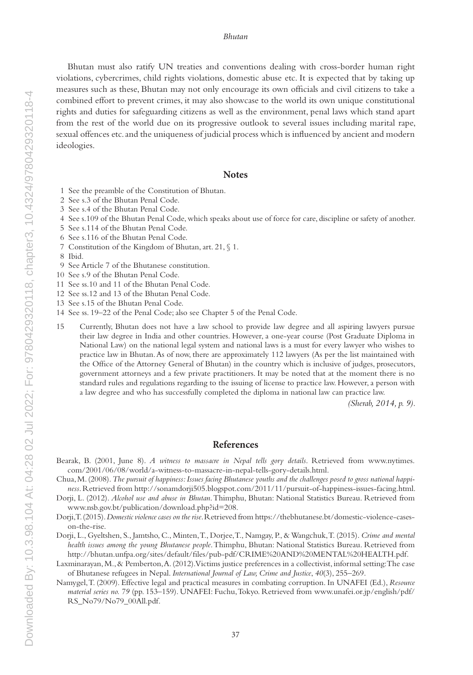#### *Bhutan*

Bhutan must also ratify UN treaties and conventions dealing with cross-border human right violations, cybercrimes, child rights violations, domestic abuse etc. It is expected that by taking up measures such as these, Bhutan may not only encourage its own officials and civil citizens to take a combined effort to prevent crimes, it may also showcase to the world its own unique constitutional rights and duties for safeguarding citizens as well as the environment, penal laws which stand apart from the rest of the world due on its progressive outlook to several issues including marital rape, sexual offences etc. and the uniqueness of judicial process which is influenced by ancient and modern ideologies.

#### **Notes**

- 1 See the preamble of the Constitution of Bhutan.
- 2 See s.3 of the Bhutan Penal Code.
- 3 See s.4 of the Bhutan Penal Code.
- 4 See s.109 of the Bhutan Penal Code, which speaks about use of force for care, discipline or safety of another.
- 5 See s.114 of the Bhutan Penal Code.
- 6 See s.116 of the Bhutan Penal Code.
- 7 Constitution of the Kingdom of Bhutan, art. 21, § 1.
- 8 Ibid.
- 9 See Article 7 of the Bhutanese constitution.
- 10 See s.9 of the Bhutan Penal Code.
- 11 See ss.10 and 11 of the Bhutan Penal Code.
- 12 See ss.12 and 13 of the Bhutan Penal Code.
- 13 See s.15 of the Bhutan Penal Code.
- 14 See ss. 19–22 of the Penal Code; also see Chapter 5 of the Penal Code.
- 15 Currently, Bhutan does not have a law school to provide law degree and all aspiring lawyers pursue their law degree in India and other countries. However, a one-year course (Post Graduate Diploma in National Law) on the national legal system and national laws is a must for every lawyer who wishes to practice law in Bhutan. As of now, there are approximately 112 lawyers (As per the list maintained with the Office of the Attorney General of Bhutan) in the country which is inclusive of judges, prosecutors, government attorneys and a few private practitioners. It may be noted that at the moment there is no standard rules and regulations regarding to the issuing of license to practice law. However, a person with a law degree and who has successfully completed the diploma in national law can practice law.

*(Sherab, 2014, p. 9).*

#### **References**

- Bearak, B. (2001, June 8). *A witness to massacre in Nepal tells gory details*. Retrieved from www.nytimes. com/2001/06/08/world/a-witness-to-massacre-in-nepal-tells-gory-details.html.
- Chua, M. (2008). *The pursuit of happiness: Issues facing Bhutanese youths and the challenges posed to gross national happiness*. Retrieved from http://sonamdorji505.blogspot.com/2011/11/pursuit-of-happiness-issues-facing.html.
- Dorji, L. (2012). *Alcohol use and abuse in Bhutan*. Thimphu, Bhutan: National Statistics Bureau. Retrieved from www.nsb.gov.bt/publication/download.php?id=208.
- Dorji, T. (2015). *Domestic violence cases on the rise*. Retrieved from https://thebhutanese.bt/domestic-violence-caseson-the-rise.
- Dorji, L., Gyeltshen, S., Jamtsho, C., Minten, T., Dorjee, T., Namgay, P., & Wangchuk, T. (2015). *Crime and mental health issues among the young Bhutanese people*. Thimphu, Bhutan: National Statistics Bureau. Retrieved from http://bhutan.unfpa.org/sites/default/files/pub-pdf/CRIME%20AND%20MENTAL%20HEALTH.pdf.
- Laxminarayan, M.,& Pemberton, A. (2012). Victims justice preferences in a collectivist, informal setting: The case of Bhutanese refugees in Nepal. *International Journal of Law, Crime and Justice*, *40*(3), 255–269.
- Namygel, T. (2009). Effective legal and practical measures in combating corruption. In UNAFEI (Ed.), *Resource material series no. 79* (pp. 153–159). UNAFEI: Fuchu, Tokyo. Retrieved from www.unafei.or.jp/english/pdf/ RS\_No79/No79\_00All.pdf.